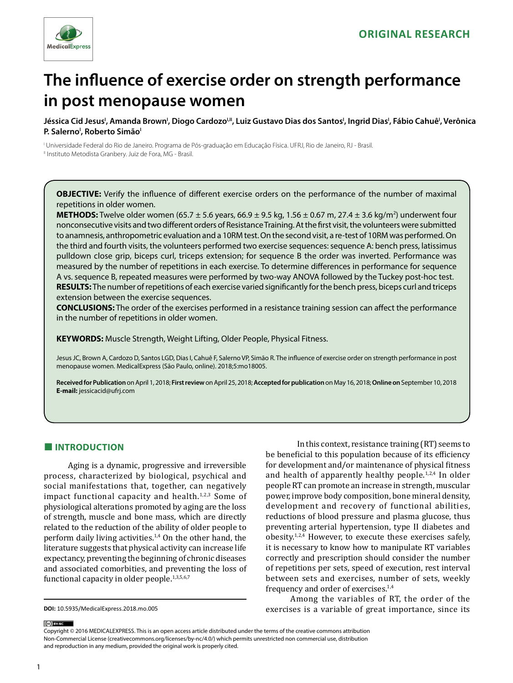

# **The influence of exercise order on strength performance in post menopause women**

Jéssica Cid Jesus', Amanda Brown', Diogo Cardozo'<sup>u</sup>', Luiz Gustavo Dias dos Santos', Ingrid Dias', Fábio Cahuê', Verônica **P. Salerno<sup>,</sup> Roberto Simão** 

I Universidade Federal do Rio de Janeiro. Programa de Pós-graduação em Educação Física. UFRJ, Rio de Janeiro, RJ - Brasil. <sup>II</sup> Instituto Metodista Granbery. Juiz de Fora, MG - Brasil.

**OBJECTIVE:** Verify the influence of different exercise orders on the performance of the number of maximal repetitions in older women.

**METHODS:** Twelve older women (65.7 ± 5.6 years, 66.9 ± 9.5 kg, 1.56 ± 0.67 m, 27.4 ± 3.6 kg/m<sup>2</sup>) underwent four nonconsecutive visits and two different orders of Resistance Training. At the first visit, the volunteers were submitted to anamnesis, anthropometric evaluation and a 10RM test. On the second visit, a re-test of 10RM was performed. On the third and fourth visits, the volunteers performed two exercise sequences: sequence A: bench press, latissimus pulldown close grip, biceps curl, triceps extension; for sequence B the order was inverted. Performance was measured by the number of repetitions in each exercise. To determine differences in performance for sequence A vs. sequence B, repeated measures were performed by two-way ANOVA followed by the Tuckey post-hoc test. **RESULTS:** The number of repetitions of each exercise varied significantly for the bench press, biceps curl and triceps extension between the exercise sequences.

**CONCLUSIONS:** The order of the exercises performed in a resistance training session can affect the performance in the number of repetitions in older women.

**KEYWORDS:** Muscle Strength, Weight Lifting, Older People, Physical Fitness.

Jesus JC, Brown A, Cardozo D, Santos LGD, Dias I, Cahuê F, Salerno VP, Simão R. The influence of exercise order on strength performance in post menopause women. MedicalExpress (São Paulo, online). 2018;5:mo18005.

**Received for Publication** on April 1, 2018; **First review** on April 25, 2018; **Accepted for publication** on May 16, 2018; **Online on** September 10, 2018 **E-mail:** jessicacid@ufrj.com

# **■ INTRODUCTION**

Aging is a dynamic, progressive and irreversible process, characterized by biological, psychical and social manifestations that, together, can negatively impact functional capacity and health. $1,2,3$  Some of physiological alterations promoted by aging are the loss of strength, muscle and bone mass, which are directly related to the reduction of the ability of older people to perform daily living activities.1,4 On the other hand, the literature suggests that physical activity can increase life expectancy, preventing the beginning of chronic diseases and associated comorbities, and preventing the loss of functional capacity in older people.<sup>1,3,5,6,7</sup>

In this context, resistance training (RT) seems to be beneficial to this population because of its efficiency for development and/or maintenance of physical fitness and health of apparently healthy people. $1,2,4$  In older people RT can promote an increase in strength, muscular power, improve body composition, bone mineral density, development and recovery of functional abilities, reductions of blood pressure and plasma glucose, thus preventing arterial hypertension, type II diabetes and obesity. $1,2,4$  However, to execute these exercises safely. it is necessary to know how to manipulate RT variables correctly and prescription should consider the number of repetitions per sets, speed of execution, rest interval between sets and exercises, number of sets, weekly frequency and order of exercises.1,4

Among the variables of RT, the order of the exercises is a variable of great importance, since its

Copyright © 2016 MEDICALEXPRESS. This is an open access article distributed under the terms of the creative commons attribution Non-Commercial License [\(creativecommons.org/licenses/by-nc/4.0/\)](http://creativecommons.org/licenses/by-nc/3.0/) which permits unrestricted non commercial use, distribution and reproduction in any medium, provided the original work is properly cited.

(ce) BY-NC

**DOI:** 10.5935/MedicalExpress.2018.mo.005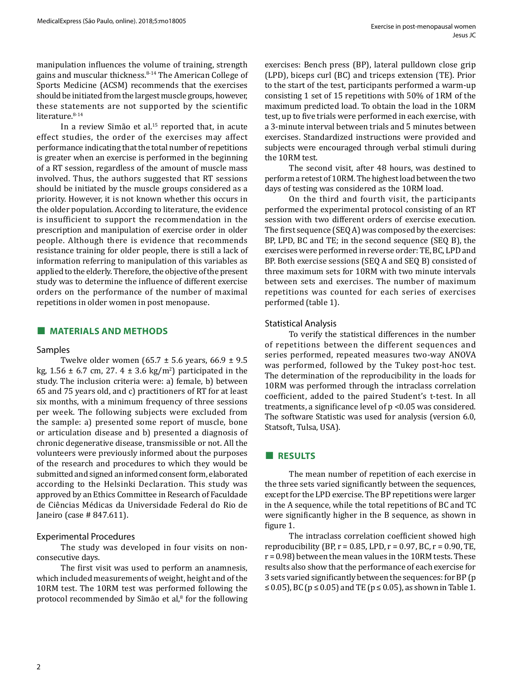manipulation influences the volume of training, strength gains and muscular thickness.<sup>8-14</sup> The American College of Sports Medicine (ACSM) recommends that the exercises should be initiated from the largest muscle groups, however, these statements are not supported by the scientific literature. 8-14

In a review Simão et al.<sup>15</sup> reported that, in acute effect studies, the order of the exercises may affect performance indicating that the total number of repetitions is greater when an exercise is performed in the beginning of a RT session, regardless of the amount of muscle mass involved. Thus, the authors suggested that RT sessions should be initiated by the muscle groups considered as a priority. However, it is not known whether this occurs in the older population. According to literature, the evidence is insufficient to support the recommendation in the prescription and manipulation of exercise order in older people. Although there is evidence that recommends resistance training for older people, there is still a lack of information referring to manipulation of this variables as applied to the elderly. Therefore, the objective of the present study was to determine the influence of different exercise orders on the performance of the number of maximal repetitions in older women in post menopause.

# **■ MATERIALS AND METHODS**

## Samples

Twelve older women (65.7  $\pm$  5.6 years, 66.9  $\pm$  9.5  $kg, 1.56 \pm 6.7 \text{ cm}, 27.4 \pm 3.6 \text{ kg/m}^2$ ) participated in the study. The inclusion criteria were: a) female, b) between 65 and 75 years old, and c) practitioners of RT for at least six months, with a minimum frequency of three sessions per week. The following subjects were excluded from the sample: a) presented some report of muscle, bone or articulation disease and b) presented a diagnosis of chronic degenerative disease, transmissible or not. All the volunteers were previously informed about the purposes of the research and procedures to which they would be submitted and signed an informed consent form, elaborated according to the Helsinki Declaration. This study was approved by an Ethics Committee in Research of Faculdade de Ciências Médicas da Universidade Federal do Rio de Janeiro (case # 847.611).

## Experimental Procedures

The study was developed in four visits on nonconsecutive days.

The first visit was used to perform an anamnesis, which included measurements of weight, height and of the 10RM test. The 10RM test was performed following the protocol recommended by Simão et al,<sup>8</sup> for the following exercises: Bench press (BP), lateral pulldown close grip (LPD), biceps curl (BC) and triceps extension (TE). Prior to the start of the test, participants performed a warm-up consisting 1 set of 15 repetitions with 50% of 1RM of the maximum predicted load. To obtain the load in the 10RM test, up to five trials were performed in each exercise, with a 3-minute interval between trials and 5 minutes between exercises. Standardized instructions were provided and subjects were encouraged through verbal stimuli during the 10RM test.

The second visit, after 48 hours, was destined to perform a retest of 10RM. The highest load between the two days of testing was considered as the 10RM load.

On the third and fourth visit, the participants performed the experimental protocol consisting of an RT session with two different orders of exercise execution. The first sequence (SEQ A) was composed by the exercises: BP, LPD, BC and TE; in the second sequence (SEQ B), the exercises were performed in reverse order: TE, BC, LPD and BP. Both exercise sessions (SEQ A and SEQ B) consisted of three maximum sets for 10RM with two minute intervals between sets and exercises. The number of maximum repetitions was counted for each series of exercises performed (table 1).

# Statistical Analysis

To verify the statistical differences in the number of repetitions between the different sequences and series performed, repeated measures two-way ANOVA was performed, followed by the Tukey post-hoc test. The determination of the reproducibility in the loads for 10RM was performed through the intraclass correlation coefficient, added to the paired Student's t-test. In all treatments, a significance level of p <0.05 was considered. The software Statistic was used for analysis (version 6.0, Statsoft, Tulsa, USA).

## **■ RESULTS**

The mean number of repetition of each exercise in the three sets varied significantly between the sequences, except for the LPD exercise. The BP repetitions were larger in the A sequence, while the total repetitions of BC and TC were significantly higher in the B sequence, as shown in figure 1.

The intraclass correlation coefficient showed high reproducibility (BP,  $r = 0.85$ , LPD,  $r = 0.97$ , BC,  $r = 0.90$ , TE,  $r = 0.98$ ) between the mean values in the 10RM tests. These results also show that the performance of each exercise for 3 sets varied significantly between the sequences: for BP (p ≤ 0.05), BC ( $p$  ≤ 0.05) and TE ( $p$  ≤ 0.05), as shown in Table 1.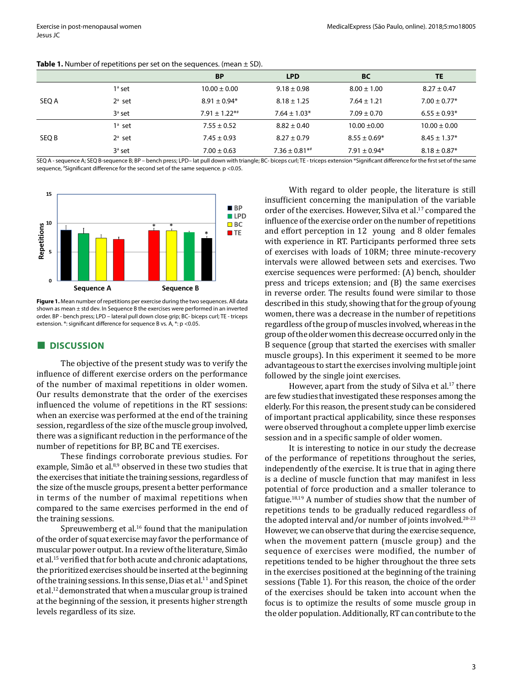|       |           | <b>BP</b>            | <b>LPD</b>                    | <b>BC</b>        | TE               |
|-------|-----------|----------------------|-------------------------------|------------------|------------------|
| SEQ A | $1a$ set  | $10.00 \pm 0.00$     | $9.18 \pm 0.98$               | $8.00 \pm 1.00$  | $8.27 \pm 0.47$  |
|       | $2^a$ set | $8.91 \pm 0.94*$     | $8.18 \pm 1.25$               | $7.64 \pm 1.21$  | $7.00 \pm 0.77*$ |
|       | $3a$ set  | $7.91 \pm 1.22^{**}$ | $7.64 \pm 1.03*$              | $7.09 \pm 0.70$  | $6.55 \pm 0.93*$ |
| SEQ B | $1a$ set  | $7.55 \pm 0.52$      | $8.82 \pm 0.40$               | $10.00 \pm 0.00$ | $10.00 \pm 0.00$ |
|       | $2^a$ set | $7.45 \pm 0.93$      | $8.27 \pm 0.79$               | $8.55 \pm 0.69*$ | $8.45 \pm 1.37*$ |
|       | $3a$ set  | $7.00 \pm 0.63$      | $7.36 \pm 0.81$ <sup>**</sup> | $7.91 \pm 0.94*$ | $8.18 \pm 0.87*$ |

#### Table 1. Number of repetitions per set on the sequences. (mean  $\pm$  SD).

SEQ A - sequence A; SEQ B-sequence B; BP – bench press; LPD– lat pull down with triangle; BC- biceps curl; TE - triceps extension \*Significant difference for the first set of the same sequence, # Significant difference for the second set of the same sequence. p <0.05.



**Figure 1.** Mean number of repetitions per exercise during the two sequences. All data shown as mean  $\pm$  std dev. In Sequence B the exercises were performed in an inverted order. BP - bench press; LPD – lateral pull down close grip; BC- biceps curl; TE - triceps extension. \*: significant difference for sequence B vs. A, \*: p <0.05.

## **■ DISCUSSION**

The objective of the present study was to verify the influence of different exercise orders on the performance of the number of maximal repetitions in older women. Our results demonstrate that the order of the exercises influenced the volume of repetitions in the RT sessions: when an exercise was performed at the end of the training session, regardless of the size of the muscle group involved, there was a significant reduction in the performance of the number of repetitions for BP, BC and TE exercises.

These findings corroborate previous studies. For example, Simão et al.<sup>8,9</sup> observed in these two studies that the exercises that initiate the training sessions, regardless of the size of the muscle groups, present a better performance in terms of the number of maximal repetitions when compared to the same exercises performed in the end of the training sessions.

Spreuwemberg et al.<sup>16</sup> found that the manipulation of the order of squat exercise may favor the performance of muscular power output. In a review of the literature, Simão et al.<sup>15</sup> verified that for both acute and chronic adaptations, the prioritized exercises should be inserted at the beginning of the training sessions. In this sense, Dias et al.<sup>11</sup> and Spinet et al.12 demonstrated that when a muscular group is trained at the beginning of the session, it presents higher strength levels regardless of its size.

With regard to older people, the literature is still insufficient concerning the manipulation of the variable order of the exercises. However, Silva et al.<sup>17</sup> compared the influence of the exercise order on the number of repetitions and effort perception in 12 young and 8 older females with experience in RT. Participants performed three sets of exercises with loads of 10RM; three minute-recovery intervals were allowed between sets and exercises. Two exercise sequences were performed: (A) bench, shoulder press and triceps extension; and (B) the same exercises in reverse order. The results found were similar to those described in this study, showing that for the group of young women, there was a decrease in the number of repetitions regardless of the group of muscles involved, whereas in the group of the older women this decrease occurred only in the B sequence (group that started the exercises with smaller muscle groups). In this experiment it seemed to be more advantageous to start the exercises involving multiple joint followed by the single joint exercises.

However, apart from the study of Silva et al.<sup>17</sup> there are few studies that investigated these responses among the elderly. For this reason, the present study can be considered of important practical applicability, since these responses were observed throughout a complete upper limb exercise session and in a specific sample of older women.

It is interesting to notice in our study the decrease of the performance of repetitions throughout the series, independently of the exercise. It is true that in aging there is a decline of muscle function that may manifest in less potential of force production and a smaller tolerance to fatigue.18,19 A number of studies show that the number of repetitions tends to be gradually reduced regardless of the adopted interval and/or number of joints involved.20-23 However, we can observe that during the exercise sequence, when the movement pattern (muscle group) and the sequence of exercises were modified, the number of repetitions tended to be higher throughout the three sets in the exercises positioned at the beginning of the training sessions (Table 1). For this reason, the choice of the order of the exercises should be taken into account when the focus is to optimize the results of some muscle group in the older population. Additionally, RT can contribute to the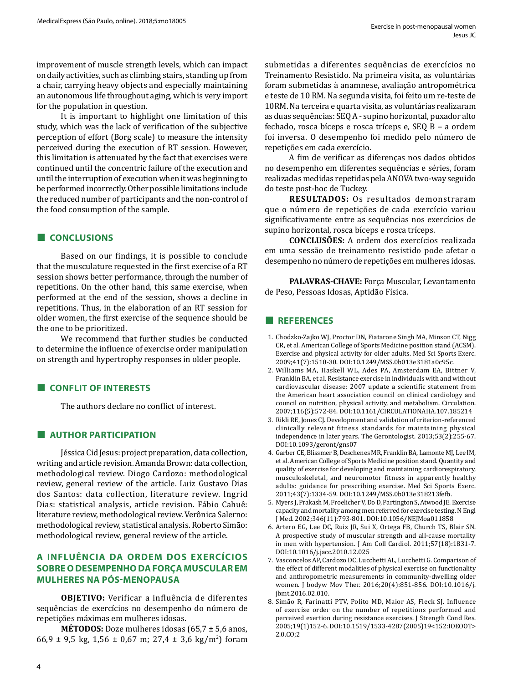improvement of muscle strength levels, which can impact on daily activities, such as climbing stairs, standing up from a chair, carrying heavy objects and especially maintaining an autonomous life throughout aging, which is very import for the population in question.

It is important to highlight one limitation of this study, which was the lack of verification of the subjective perception of effort (Borg scale) to measure the intensity perceived during the execution of RT session. However, this limitation is attenuated by the fact that exercises were continued until the concentric failure of the execution and until the interruption of execution when it was beginning to be performed incorrectly. Other possible limitations include the reduced number of participants and the non-control of the food consumption of the sample.

# **■ CONCLUSIONS**

Based on our findings, it is possible to conclude that the musculature requested in the first exercise of a RT session shows better performance, through the number of repetitions. On the other hand, this same exercise, when performed at the end of the session, shows a decline in repetitions. Thus, in the elaboration of an RT session for older women, the first exercise of the sequence should be the one to be prioritized.

We recommend that further studies be conducted to determine the influence of exercise order manipulation on strength and hypertrophy responses in older people.

# **■ CONFLIT OF INTERESTS**

The authors declare no conflict of interest.

# **■ AUTHOR PARTICIPATION**

Jéssica Cid Jesus: project preparation, data collection, writing and article revision. Amanda Brown: data collection, methodological review. Diogo Cardozo: methodological review, general review of the article. Luiz Gustavo Dias dos Santos: data collection, literature review. Ingrid Dias: statistical analysis, article revision. Fábio Cahuê: literature review, methodological review. Verônica Salerno: methodological review, statistical analysis. Roberto Simão: methodological review, general review of the article.

# **A INFLUÊNCIA DA ORDEM DOS EXERCÍCIOS SOBRE O DESEMPENHO DA FORÇA MUSCULAR EM MULHERES NA PÓS-MENOPAUSA**

**OBJETIVO:** Verificar a influência de diferentes sequências de exercícios no desempenho do número de repetições máximas em mulheres idosas.

**MÉTODOS:** Doze mulheres idosas (65,7 ± 5,6 anos, 66,9  $\pm$  9,5 kg, 1,56  $\pm$  0,67 m; 27,4  $\pm$  3,6 kg/m<sup>2</sup>) foram

submetidas a diferentes sequências de exercícios no Treinamento Resistido. Na primeira visita, as voluntárias foram submetidas à anamnese, avaliação antropométrica e teste de 10 RM. Na segunda visita, foi feito um re-teste de 10RM. Na terceira e quarta visita, as voluntárias realizaram as duas sequências: SEQ A - supino horizontal, puxador alto fechado, rosca bíceps e rosca tríceps e, SEQ B – a ordem foi inversa. O desempenho foi medido pelo número de repetições em cada exercício.

A fim de verificar as diferenças nos dados obtidos no desempenho em diferentes sequências e séries, foram realizadas medidas repetidas pela ANOVA two-way seguido do teste post-hoc de Tuckey.

**RESULTADOS:** Os resultados demonstraram que o número de repetições de cada exercício variou significativamente entre as sequências nos exercícios de supino horizontal, rosca bíceps e rosca tríceps.

**CONCLUSÕES:** A ordem dos exercícios realizada em uma sessão de treinamento resistido pode afetar o desempenho no número de repetições em mulheres idosas.

**PALAVRAS-CHAVE:** Força Muscular, Levantamento de Peso, Pessoas Idosas, Aptidão Física.

#### **■ REFERENCES**

- 1. Chodzko-Zajko WJ, Proctor DN, Fiatarone Singh MA, Minson CT, Nigg CR, et al. American College of Sports Medicine position stand (ACSM). Exercise and physical activity for older adults. Med Sci Sports Exerc. 2009;41(7):1510-30. DOI:10.1249/MSS.0b013e3181a0c95c.
- 2. Williams MA, Haskell WL, Ades PA, Amsterdam EA, Bittner V, Franklin BA, et al. Resistance exercise in individuals with and without cardiovascular disease: 2007 update a scientific statement from the American heart association council on clinical cardiology and council on nutrition, physical activity, and metabolism. Circulation. 2007;116(5):572-84. DOI:10.1161/CIRCULATIONAHA.107.185214
- 3. Rikli RE, Jones CJ. Development and validation of criterion-referenced clinically relevant fitness standards for maintaining physical independence in later years. The Gerontologist. 2013;53(2):255-67. DOI:10.1093/geront/gns07
- 4. Garber CE, Blissmer B, Deschenes MR, Franklin BA, Lamonte MJ, Lee IM, et al. American College of Sports Medicine position stand. Quantity and quality of exercise for developing and maintaining cardiorespiratory, musculoskeletal, and neuromotor fitness in apparently healthy adults: guidance for prescribing exercise. Med Sci Sports Exerc. 2011;43(7):1334-59. DOI:10.1249/MSS.0b013e318213fefb.
- 5. Myers J, Prakash M, Froelicher V, Do D, Partington S, Atwood JE. Exercise capacity and mortality among men referred for exercise testing. N Engl J Med. 2002;346(11):793-801. DOI:10.1056/NEJMoa011858
- 6. Artero EG, Lee DC, Ruiz JR, Sui X, Ortega FB, Church TS, Blair SN. A prospective study of muscular strength and all-cause mortality in men with hypertension. J Am Coll Cardiol. 2011;57(18):1831-7. DOI:10.1016/j.jacc.2010.12.025
- 7. Vasconcelos AP, Cardozo DC, Lucchetti AL, Lucchetti G. Comparison of the effect of different modalities of physical exercise on functionality and anthropometric measurements in community-dwelling older women. J bodyw Mov Ther. 2016;20(4):851-856. DOI:10.1016/j. jbmt.2016.02.010.
- 8. Simão R, Farinatti PTV, Polito MD, Maior AS, Fleck SJ. Influence of exercise order on the number of repetitions performed and perceived exertion during resistance exercises. J Strength Cond Res. 2005;19(1)152-6. DOI:10.1519/1533-4287(2005)19<152:IOEOOT> 2.0.CO;2